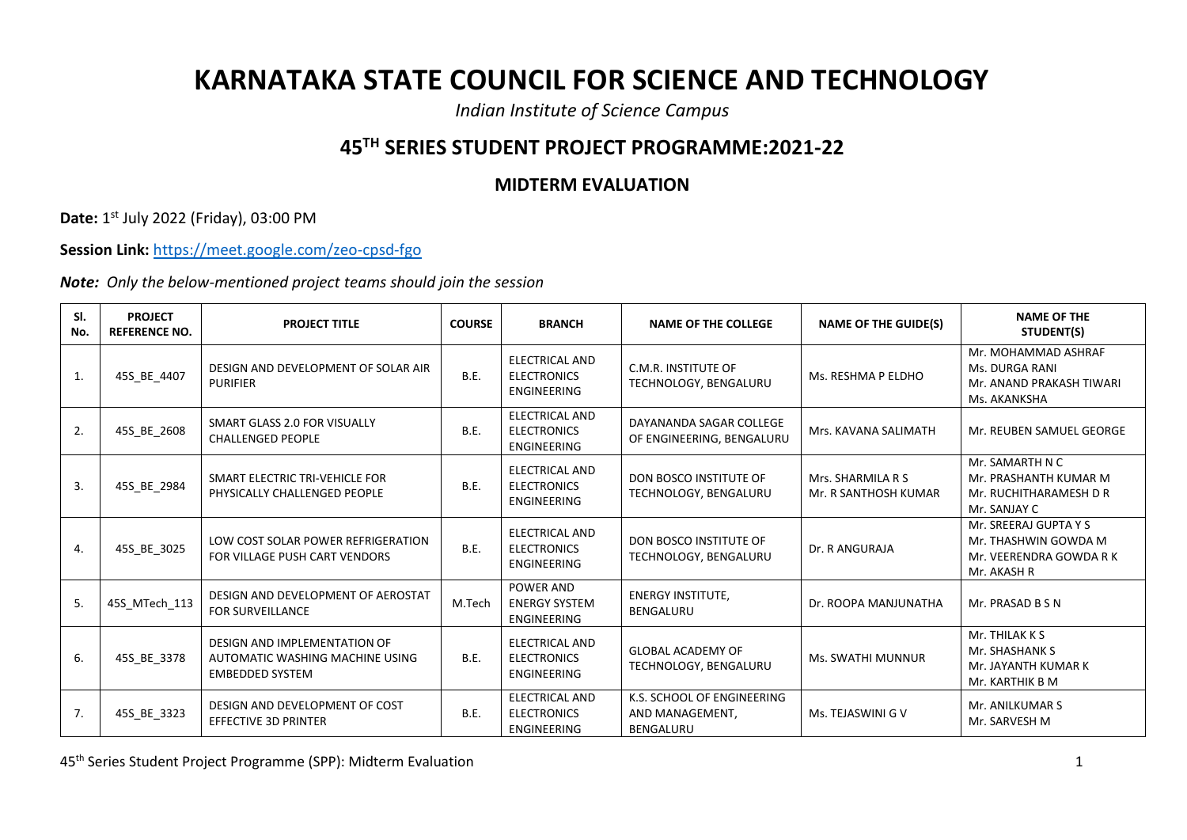## **KARNATAKA STATE COUNCIL FOR SCIENCE AND TECHNOLOGY**

*Indian Institute of Science Campus*

## **45TH SERIES STUDENT PROJECT PROGRAMME:2021-22**

## **MIDTERM EVALUATION**

**Date:** 1 st July 2022 (Friday), 03:00 PM

**Session Link:** <https://meet.google.com/zeo-cpsd-fgo>

*Note: Only the below-mentioned project teams should join the session*

| SI.<br>No.   | <b>PROJECT</b><br><b>REFERENCE NO.</b> | <b>PROJECT TITLE</b>                                                                      | <b>COURSE</b> | <b>BRANCH</b>                                                     | <b>NAME OF THE COLLEGE</b>                                 | <b>NAME OF THE GUIDE(S)</b>               | <b>NAME OF THE</b><br>STUDENT(S)                                                        |
|--------------|----------------------------------------|-------------------------------------------------------------------------------------------|---------------|-------------------------------------------------------------------|------------------------------------------------------------|-------------------------------------------|-----------------------------------------------------------------------------------------|
| $\mathbf{1}$ | 45S_BE_4407                            | DESIGN AND DEVELOPMENT OF SOLAR AIR<br><b>PURIFIER</b>                                    | B.E.          | <b>ELECTRICAL AND</b><br><b>ELECTRONICS</b><br><b>ENGINEERING</b> | C.M.R. INSTITUTE OF<br>TECHNOLOGY, BENGALURU               | Ms. RESHMA P ELDHO                        | Mr. MOHAMMAD ASHRAF<br>Ms. DURGA RANI<br>Mr. ANAND PRAKASH TIWARI<br>Ms. AKANKSHA       |
| 2.           | 45S_BE_2608                            | SMART GLASS 2.0 FOR VISUALLY<br><b>CHALLENGED PEOPLE</b>                                  | B.E.          | <b>ELECTRICAL AND</b><br><b>ELECTRONICS</b><br><b>ENGINEERING</b> | DAYANANDA SAGAR COLLEGE<br>OF ENGINEERING, BENGALURU       | Mrs. KAVANA SALIMATH                      | Mr. REUBEN SAMUEL GEORGE                                                                |
| 3.           | 45S_BE_2984                            | SMART ELECTRIC TRI-VEHICLE FOR<br>PHYSICALLY CHALLENGED PEOPLE                            | B.E.          | <b>ELECTRICAL AND</b><br><b>ELECTRONICS</b><br><b>ENGINEERING</b> | DON BOSCO INSTITUTE OF<br>TECHNOLOGY, BENGALURU            | Mrs. SHARMILA R S<br>Mr. R SANTHOSH KUMAR | Mr. SAMARTH N C<br>Mr. PRASHANTH KUMAR M<br>Mr. RUCHITHARAMESH D R<br>Mr. SANJAY C      |
| 4.           | 45S_BE_3025                            | LOW COST SOLAR POWER REFRIGERATION<br>FOR VILLAGE PUSH CART VENDORS                       | B.E.          | <b>ELECTRICAL AND</b><br><b>ELECTRONICS</b><br><b>ENGINEERING</b> | DON BOSCO INSTITUTE OF<br>TECHNOLOGY, BENGALURU            | Dr. R ANGURAJA                            | Mr. SREERAJ GUPTA Y S<br>Mr. THASHWIN GOWDA M<br>Mr. VEERENDRA GOWDA R K<br>Mr. AKASH R |
| 5.           | 45S MTech 113                          | DESIGN AND DEVELOPMENT OF AEROSTAT<br><b>FOR SURVEILLANCE</b>                             | M.Tech        | <b>POWER AND</b><br><b>ENERGY SYSTEM</b><br><b>ENGINEERING</b>    | <b>ENERGY INSTITUTE,</b><br><b>BENGALURU</b>               | Dr. ROOPA MANJUNATHA                      | Mr. PRASAD B S N                                                                        |
| 6.           | 45S BE 3378                            | DESIGN AND IMPLEMENTATION OF<br>AUTOMATIC WASHING MACHINE USING<br><b>EMBEDDED SYSTEM</b> | B.E.          | ELECTRICAL AND<br><b>ELECTRONICS</b><br>ENGINEERING               | <b>GLOBAL ACADEMY OF</b><br>TECHNOLOGY, BENGALURU          | Ms. SWATHI MUNNUR                         | Mr. THILAK K S<br>Mr. SHASHANK S<br>Mr. JAYANTH KUMAR K<br>Mr. KARTHIK B M              |
| 7.           | 45S_BE_3323                            | DESIGN AND DEVELOPMENT OF COST<br><b>EFFECTIVE 3D PRINTER</b>                             | B.E.          | ELECTRICAL AND<br><b>ELECTRONICS</b><br>ENGINEERING               | K.S. SCHOOL OF ENGINEERING<br>AND MANAGEMENT,<br>BENGALURU | Ms. TEJASWINI G V                         | Mr. ANILKUMAR S<br>Mr. SARVESH M                                                        |